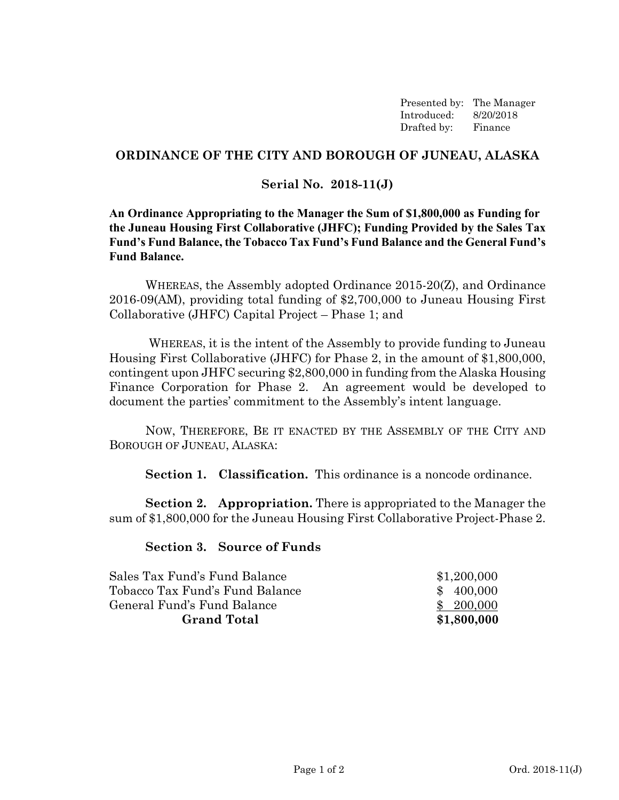Presented by: The Manager Introduced: 8/20/2018 Drafted by: Finance

## **ORDINANCE OF THE CITY AND BOROUGH OF JUNEAU, ALASKA**

## **Serial No. 2018-11(J)**

**An Ordinance Appropriating to the Manager the Sum of \$1,800,000 as Funding for the Juneau Housing First Collaborative (JHFC); Funding Provided by the Sales Tax Fund's Fund Balance, the Tobacco Tax Fund's Fund Balance and the General Fund's Fund Balance.** 

WHEREAS, the Assembly adopted Ordinance 2015-20(Z), and Ordinance 2016-09(AM), providing total funding of \$2,700,000 to Juneau Housing First Collaborative (JHFC) Capital Project – Phase 1; and

 WHEREAS, it is the intent of the Assembly to provide funding to Juneau Housing First Collaborative (JHFC) for Phase 2, in the amount of \$1,800,000, contingent upon JHFC securing \$2,800,000 in funding from the Alaska Housing Finance Corporation for Phase 2. An agreement would be developed to document the parties' commitment to the Assembly's intent language.

NOW, THEREFORE, BE IT ENACTED BY THE ASSEMBLY OF THE CITY AND BOROUGH OF JUNEAU, ALASKA:

**Section 1. Classification.** This ordinance is a noncode ordinance.

**Section 2. Appropriation.** There is appropriated to the Manager the sum of \$1,800,000 for the Juneau Housing First Collaborative Project-Phase 2.

**Section 3. Source of Funds** 

| Sales Tax Fund's Fund Balance   | \$1,200,000 |
|---------------------------------|-------------|
| Tobacco Tax Fund's Fund Balance | \$400,000   |
| General Fund's Fund Balance     | \$ 200,000  |
| <b>Grand Total</b>              | \$1,800,000 |